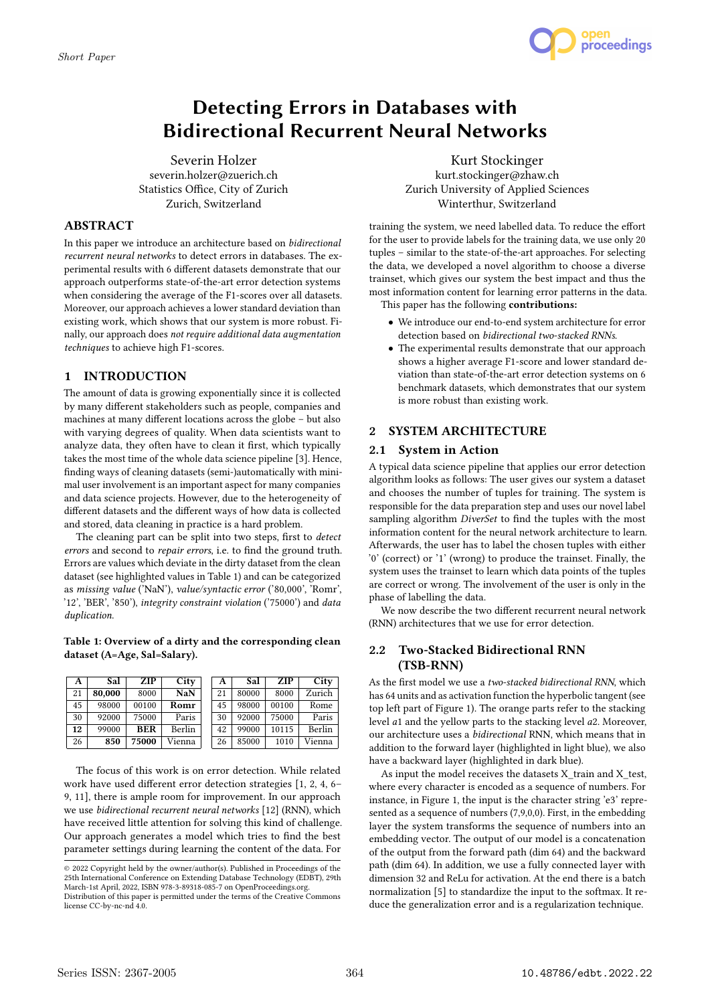

# Detecting Errors in Databases with Bidirectional Recurrent Neural Networks

Severin Holzer severin.holzer@zuerich.ch Statistics Office, City of Zurich Zurich, Switzerland

# ABSTRACT

In this paper we introduce an architecture based on bidirectional recurrent neural networks to detect errors in databases. The experimental results with 6 different datasets demonstrate that our approach outperforms state-of-the-art error detection systems when considering the average of the F1-scores over all datasets. Moreover, our approach achieves a lower standard deviation than existing work, which shows that our system is more robust. Finally, our approach does not require additional data augmentation techniques to achieve high F1-scores.

# 1 INTRODUCTION

The amount of data is growing exponentially since it is collected by many different stakeholders such as people, companies and machines at many different locations across the globe – but also with varying degrees of quality. When data scientists want to analyze data, they often have to clean it first, which typically takes the most time of the whole data science pipeline [3]. Hence, finding ways of cleaning datasets (semi-)automatically with minimal user involvement is an important aspect for many companies and data science projects. However, due to the heterogeneity of different datasets and the different ways of how data is collected and stored, data cleaning in practice is a hard problem.

The cleaning part can be split into two steps, first to *detect* errors and second to repair errors, i.e. to find the ground truth. Errors are values which deviate in the dirty dataset from the clean dataset (see highlighted values in Table 1) and can be categorized as missing value ('NaN'), value/syntactic error ('80,000', 'Romr', '12', 'BER', '850'), integrity constraint violation ('75000') and data duplication.

#### Table 1: Overview of a dirty and the corresponding clean dataset (A=Age, Sal=Salary).

| A  | Sal    | <b>ZIP</b> | City       | A  | Sal   | <b>ZIP</b> | City   |
|----|--------|------------|------------|----|-------|------------|--------|
| 21 | 80.000 | 8000       | <b>NaN</b> | 21 | 80000 | 8000       | Zurich |
| 45 | 98000  | 00100      | Romr       | 45 | 98000 | 00100      | Rome   |
| 30 | 92000  | 75000      | Paris      | 30 | 92000 | 75000      | Paris  |
| 12 | 99000  | <b>BER</b> | Berlin     | 42 | 99000 | 10115      | Berlin |
| 26 | 850    | 75000      | Vienna     | 26 | 85000 | 1010       | Vienna |

The focus of this work is on error detection. While related work have used different error detection strategies [1, 2, 4, 6– 9, 11], there is ample room for improvement. In our approach we use bidirectional recurrent neural networks [12] (RNN), which have received little attention for solving this kind of challenge. Our approach generates a model which tries to find the best parameter settings during learning the content of the data. For

Kurt Stockinger kurt.stockinger@zhaw.ch Zurich University of Applied Sciences Winterthur, Switzerland

training the system, we need labelled data. To reduce the effort for the user to provide labels for the training data, we use only 20 tuples – similar to the state-of-the-art approaches. For selecting the data, we developed a novel algorithm to choose a diverse trainset, which gives our system the best impact and thus the most information content for learning error patterns in the data. This paper has the following contributions:

• We introduce our end-to-end system architecture for error detection based on bidirectional two-stacked RNNs.

• The experimental results demonstrate that our approach shows a higher average F1-score and lower standard deviation than state-of-the-art error detection systems on 6 benchmark datasets, which demonstrates that our system is more robust than existing work.

# 2 SYSTEM ARCHITECTURE

# 2.1 System in Action

A typical data science pipeline that applies our error detection algorithm looks as follows: The user gives our system a dataset and chooses the number of tuples for training. The system is responsible for the data preparation step and uses our novel label sampling algorithm *DiverSet* to find the tuples with the most information content for the neural network architecture to learn. Afterwards, the user has to label the chosen tuples with either '0' (correct) or '1' (wrong) to produce the trainset. Finally, the system uses the trainset to learn which data points of the tuples are correct or wrong. The involvement of the user is only in the phase of labelling the data.

We now describe the two different recurrent neural network (RNN) architectures that we use for error detection.

# 2.2 Two-Stacked Bidirectional RNN (TSB-RNN)

As the first model we use a two-stacked bidirectional RNN, which has 64 units and as activation function the hyperbolic tangent (see top left part of Figure 1). The orange parts refer to the stacking level a1 and the yellow parts to the stacking level a2. Moreover, our architecture uses a bidirectional RNN, which means that in addition to the forward layer (highlighted in light blue), we also have a backward layer (highlighted in dark blue).

As input the model receives the datasets X train and X test, where every character is encoded as a sequence of numbers. For instance, in Figure 1, the input is the character string 'e3' represented as a sequence of numbers (7,9,0,0). First, in the embedding layer the system transforms the sequence of numbers into an embedding vector. The output of our model is a concatenation of the output from the forward path (dim 64) and the backward path (dim 64). In addition, we use a fully connected layer with dimension 32 and ReLu for activation. At the end there is a batch normalization [5] to standardize the input to the softmax. It reduce the generalization error and is a regularization technique.

<sup>©</sup> 2022 Copyright held by the owner/author(s). Published in Proceedings of the 25th International Conference on Extending Database Technology (EDBT), 29th March-1st April, 2022, ISBN 978-3-89318-085-7 on OpenProceedings.org.

Distribution of this paper is permitted under the terms of the Creative Commons license CC-by-nc-nd 4.0.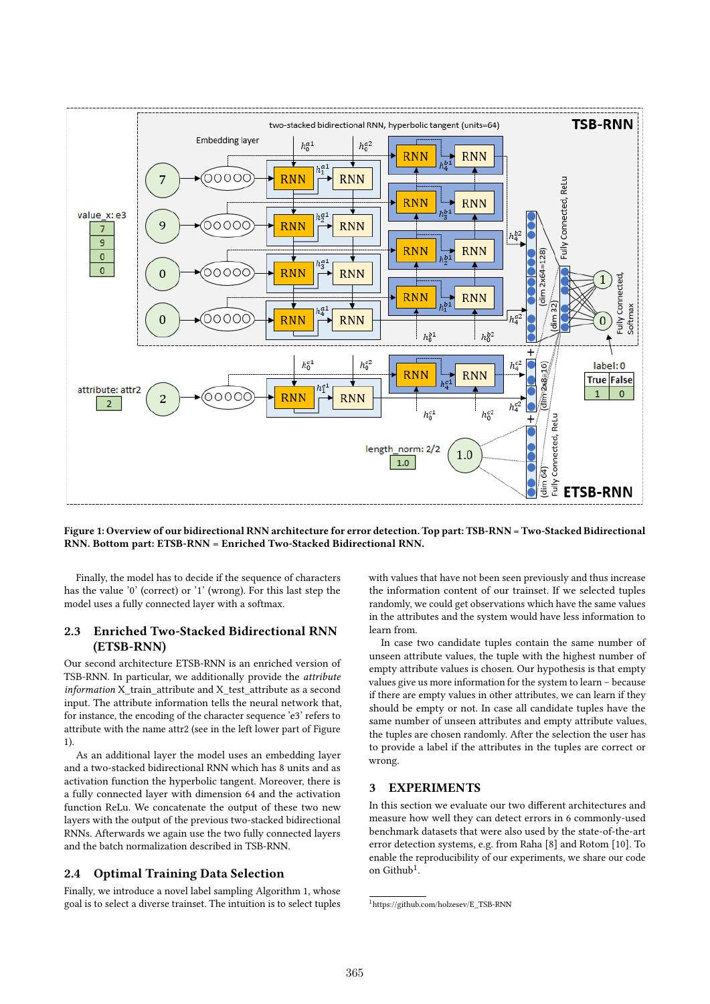

Figure 1: Overview of our bidirectional RNN architecture for error detection. Top part: TSB-RNN = Two-Stacked Bidirectional RNN. Bottom part: ETSB-RNN = Enriched Two-Stacked Bidirectional RNN.

Finally, the model has to decide if the sequence of characters has the value '0' (correct) or '1' (wrong). For this last step the model uses a fully connected layer with a softmax.

# 2.3 Enriched Two-Stacked Bidirectional RNN (ETSB-RNN)

Our second architecture ETSB-RNN is an enriched version of TSB-RNN. In particular, we additionally provide the attribute  $information X$  train attribute and  $X$  test attribute as a second input. The attribute information tells the neural network that, for instance, the encoding of the character sequence 'e3' refers to attribute with the name attr2 (see in the left lower part of Figure 1).

As an additional layer the model uses an embedding layer and a two-stacked bidirectional RNN which has 8 units and as activation function the hyperbolic tangent. Moreover, there is a fully connected layer with dimension 64 and the activation function ReLu. We concatenate the output of these two new layers with the output of the previous two-stacked bidirectional RNNs. Afterwards we again use the two fully connected layers and the batch normalization described in TSB-RNN.

## 2.4 Optimal Training Data Selection

Finally, we introduce a novel label sampling Algorithm 1, whose goal is to select a diverse trainset. The intuition is to select tuples

with values that have not been seen previously and thus increase the information content of our trainset. If we selected tuples randomly, we could get observations which have the same values in the attributes and the system would have less information to learn from.

In case two candidate tuples contain the same number of unseen attribute values, the tuple with the highest number of empty attribute values is chosen. Our hypothesis is that empty values give us more information for the system to learn – because if there are empty values in other attributes, we can learn if they should be empty or not. In case all candidate tuples have the same number of unseen attributes and empty attribute values, the tuples are chosen randomly. After the selection the user has to provide a label if the attributes in the tuples are correct or wrong.

## 3 EXPERIMENTS

In this section we evaluate our two different architectures and measure how well they can detect errors in 6 commonly-used benchmark datasets that were also used by the state-of-the-art error detection systems, e.g. from Raha [8] and Rotom [10]. To enable the reproducibility of our experiments, we share our code on Github<sup>1</sup>.

<sup>1</sup>https://github.com/holzesev/E\_TSB-RNN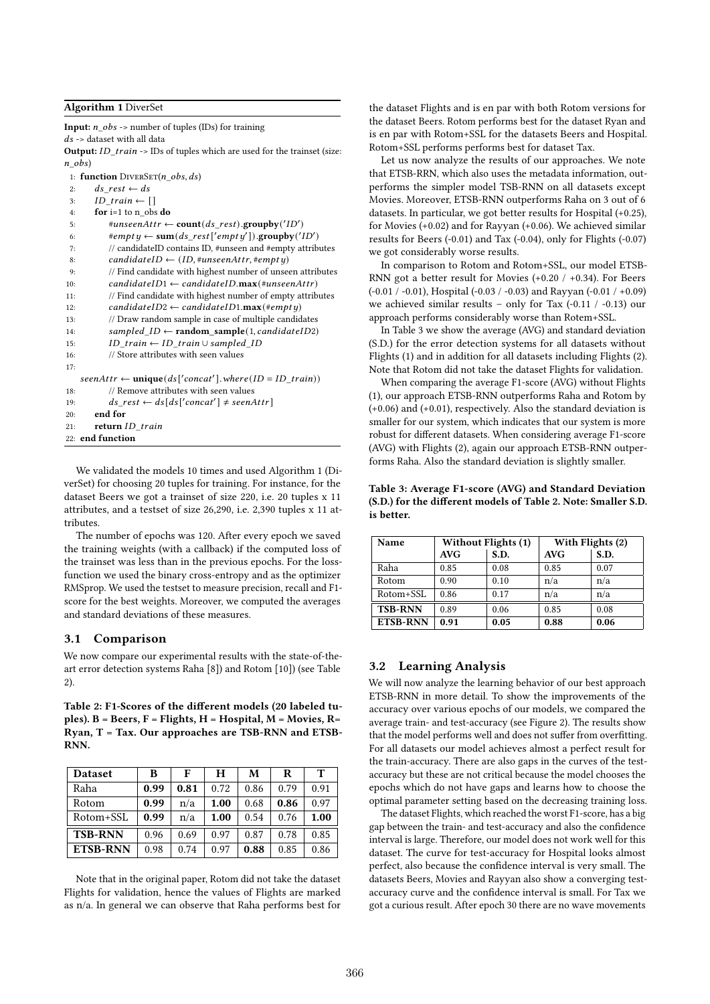#### Algorithm 1 DiverSet

**Input:**  $n$  obs -> number of tuples (IDs) for training

 $ds$  -> dataset with all data

Output:  $ID\_train \rightarrow \text{IDs}$  of tuples which are used for the trainset (size:  $n$  obs)

```
1: function DIVERSET(n\_obs, ds)
```

```
2: ds rest \leftarrow ds
```
- 3:  $ID\_train \leftarrow []$
- 4: for i=1 to n\_obs do

```
5: \qquad \qquad \#unseenAttr \leftarrow \textbf{count}(ds\_rest).\textbf{groupby}('ID')6: \qquad \qquad \#empty \leftarrow \textbf{sum}(ds\_rest['empty']) . \textbf{groupby('ID')}7: // candidateID contains ID, #unseen and #empty attributes
8: candidateID \leftarrow (ID, #unseenAttr, #empty)
9: // Find candidate with highest number of unseen attributes
10: candidateID1 \leftarrow candidateID.max(\#unseenAttr)11: // Find candidate with highest number of empty attributes
12: candidateID2 \leftarrow candidateID1.max(\#empty)13: // Draw random sample in case of multiple candidates
14: sampled\_ID \leftarrow random\_sample(1, candidateID2)15: ID\_train \leftarrow ID\_train \cup sampled\_ID16: // Store attributes with seen values
17:
   seenAttr \leftarrow unique(ds['concat'] . where(ID = ID\_train))18: // Remove attributes with seen values
19: ds\_rest \leftarrow ds[ds['concat'] \neq seenAttr]20: end for
21: return ID train
22: end function
```
We validated the models 10 times and used Algorithm 1 (DiverSet) for choosing 20 tuples for training. For instance, for the dataset Beers we got a trainset of size 220, i.e. 20 tuples x 11 attributes, and a testset of size 26,290, i.e. 2,390 tuples x 11 attributes.

The number of epochs was 120. After every epoch we saved the training weights (with a callback) if the computed loss of the trainset was less than in the previous epochs. For the lossfunction we used the binary cross-entropy and as the optimizer RMSprop. We used the testset to measure precision, recall and F1 score for the best weights. Moreover, we computed the averages and standard deviations of these measures.

#### 3.1 Comparison

We now compare our experimental results with the state-of-theart error detection systems Raha [8]) and Rotom [10]) (see Table 2).

Table 2: F1-Scores of the different models (20 labeled tuples).  $B = Beers$ ,  $F = Flights$ ,  $H = Hospital$ ,  $M = Movies$ ,  $R =$ Ryan, T = Tax. Our approaches are TSB-RNN and ETSB-RNN.

| <b>Dataset</b>  | в    | F    | н    | М    | R    | т    |
|-----------------|------|------|------|------|------|------|
| Raha            | 0.99 | 0.81 | 0.72 | 0.86 | 0.79 | 0.91 |
| Rotom           | 0.99 | n/a  | 1.00 | 0.68 | 0.86 | 0.97 |
| Rotom+SSL       | 0.99 | n/a  | 1.00 | 0.54 | 0.76 | 1.00 |
| <b>TSB-RNN</b>  | 0.96 | 0.69 | 0.97 | 0.87 | 0.78 | 0.85 |
| <b>ETSB-RNN</b> | 0.98 | 0.74 | 0.97 | 0.88 | 0.85 | 0.86 |

Note that in the original paper, Rotom did not take the dataset Flights for validation, hence the values of Flights are marked as n/a. In general we can observe that Raha performs best for the dataset Flights and is en par with both Rotom versions for the dataset Beers. Rotom performs best for the dataset Ryan and is en par with Rotom+SSL for the datasets Beers and Hospital. Rotom+SSL performs performs best for dataset Tax.

Let us now analyze the results of our approaches. We note that ETSB-RRN, which also uses the metadata information, outperforms the simpler model TSB-RNN on all datasets except Movies. Moreover, ETSB-RNN outperforms Raha on 3 out of 6 datasets. In particular, we got better results for Hospital (+0.25), for Movies (+0.02) and for Rayyan (+0.06). We achieved similar results for Beers (-0.01) and Tax (-0.04), only for Flights (-0.07) we got considerably worse results.

In comparison to Rotom and Rotom+SSL, our model ETSB-RNN got a better result for Movies (+0.20 / +0.34). For Beers (-0.01 / -0.01), Hospital (-0.03 / -0.03) and Rayyan (-0.01 / +0.09) we achieved similar results – only for Tax (-0.11 / -0.13) our approach performs considerably worse than Rotem+SSL.

In Table 3 we show the average (AVG) and standard deviation (S.D.) for the error detection systems for all datasets without Flights (1) and in addition for all datasets including Flights (2). Note that Rotom did not take the dataset Flights for validation.

When comparing the average F1-score (AVG) without Flights (1), our approach ETSB-RNN outperforms Raha and Rotom by (+0.06) and (+0.01), respectively. Also the standard deviation is smaller for our system, which indicates that our system is more robust for different datasets. When considering average F1-score (AVG) with Flights (2), again our approach ETSB-RNN outperforms Raha. Also the standard deviation is slightly smaller.

Table 3: Average F1-score (AVG) and Standard Deviation (S.D.) for the different models of Table 2. Note: Smaller S.D. is better.

| Name            | <b>Without Flights (1)</b> |      | With Flights (2) |      |  |
|-----------------|----------------------------|------|------------------|------|--|
|                 | <b>AVG</b>                 | S.D. | <b>AVG</b>       | S.D. |  |
| Raha            | 0.85                       | 0.08 | 0.85             | 0.07 |  |
| Rotom           | 0.90                       | 0.10 | n/a              | n/a  |  |
| Rotom+SSL       | 0.86                       | 0.17 | n/a              | n/a  |  |
| <b>TSB-RNN</b>  | 0.89                       | 0.06 | 0.85             | 0.08 |  |
| <b>ETSB-RNN</b> | 0.91                       | 0.05 | 0.88             | 0.06 |  |

### 3.2 Learning Analysis

We will now analyze the learning behavior of our best approach ETSB-RNN in more detail. To show the improvements of the accuracy over various epochs of our models, we compared the average train- and test-accuracy (see Figure 2). The results show that the model performs well and does not suffer from overfitting. For all datasets our model achieves almost a perfect result for the train-accuracy. There are also gaps in the curves of the testaccuracy but these are not critical because the model chooses the epochs which do not have gaps and learns how to choose the optimal parameter setting based on the decreasing training loss.

The dataset Flights, which reached the worst F1-score, has a big gap between the train- and test-accuracy and also the confidence interval is large. Therefore, our model does not work well for this dataset. The curve for test-accuracy for Hospital looks almost perfect, also because the confidence interval is very small. The datasets Beers, Movies and Rayyan also show a converging testaccuracy curve and the confidence interval is small. For Tax we got a curious result. After epoch 30 there are no wave movements